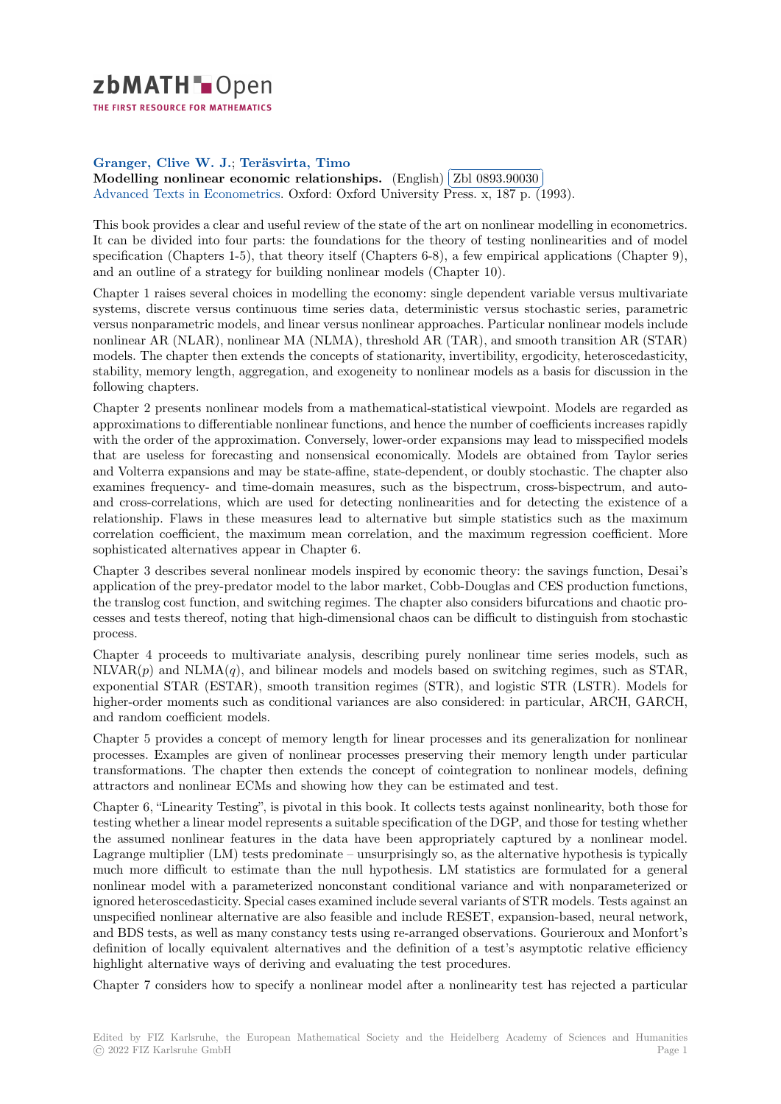

THE FIRST RESOURCE FOR MATHEMATICS

## **Granger, Clive W. J.**; **Teräsvirta, Timo**

**[M](https://zbmath.org/)odelling nonlinear economic relationships.** (English) **Zbl 0893.90030**<br>Modelling nonlinear economic relationships. (English) **Zbl 0893.90030** Advanced Texts in Econometrics. Oxford: Oxford University Press. x, 187 p. (1993). l.

[This book provides a clea](https://zbmath.org/authors/?q=ai:granger.clive-william-john)r [and useful review of](https://zbmath.org/authors/?q=ai:terasvirta.timo) the state of the art on nonlinear modelling in econometrics. [It can be divided into four parts: the foundations](https://zbmath.org/0893.90030) for the the[ory of testing non](https://zbmath.org/0893.90030)linearities and of model [specification \(Chapters 1-5\), that](https://zbmath.org/journals/?q=se:9213) theory itself (Chapters 6-8), a few empirical applications (Chapter 9), and an outline of a strategy for building nonlinear models (Chapter 10).

Chapter 1 raises several choices in modelling the economy: single dependent variable versus multivariate systems, discrete versus continuous time series data, deterministic versus stochastic series, parametric versus nonparametric models, and linear versus nonlinear approaches. Particular nonlinear models include nonlinear AR (NLAR), nonlinear MA (NLMA), threshold AR (TAR), and smooth transition AR (STAR) models. The chapter then extends the concepts of stationarity, invertibility, ergodicity, heteroscedasticity, stability, memory length, aggregation, and exogeneity to nonlinear models as a basis for discussion in the following chapters.

Chapter 2 presents nonlinear models from a mathematical-statistical viewpoint. Models are regarded as approximations to differentiable nonlinear functions, and hence the number of coefficients increases rapidly with the order of the approximation. Conversely, lower-order expansions may lead to misspecified models that are useless for forecasting and nonsensical economically. Models are obtained from Taylor series and Volterra expansions and may be state-affine, state-dependent, or doubly stochastic. The chapter also examines frequency- and time-domain measures, such as the bispectrum, cross-bispectrum, and autoand cross-correlations, which are used for detecting nonlinearities and for detecting the existence of a relationship. Flaws in these measures lead to alternative but simple statistics such as the maximum correlation coefficient, the maximum mean correlation, and the maximum regression coefficient. More sophisticated alternatives appear in Chapter 6.

Chapter 3 describes several nonlinear models inspired by economic theory: the savings function, Desai's application of the prey-predator model to the labor market, Cobb-Douglas and CES production functions, the translog cost function, and switching regimes. The chapter also considers bifurcations and chaotic processes and tests thereof, noting that high-dimensional chaos can be difficult to distinguish from stochastic process.

Chapter 4 proceeds to multivariate analysis, describing purely nonlinear time series models, such as  $NLVAR(p)$  and  $NLMA(q)$ , and bilinear models and models based on switching regimes, such as STAR, exponential STAR (ESTAR), smooth transition regimes (STR), and logistic STR (LSTR). Models for higher-order moments such as conditional variances are also considered: in particular, ARCH, GARCH, and random coefficient models.

Chapter 5 provides a concept of memory length for linear processes and its generalization for nonlinear processes. Examples are given of nonlinear processes preserving their memory length under particular transformations. The chapter then extends the concept of cointegration to nonlinear models, defining attractors and nonlinear ECMs and showing how they can be estimated and test.

Chapter 6, "Linearity Testing", is pivotal in this book. It collects tests against nonlinearity, both those for testing whether a linear model represents a suitable specification of the DGP, and those for testing whether the assumed nonlinear features in the data have been appropriately captured by a nonlinear model. Lagrange multiplier (LM) tests predominate – unsurprisingly so, as the alternative hypothesis is typically much more difficult to estimate than the null hypothesis. LM statistics are formulated for a general nonlinear model with a parameterized nonconstant conditional variance and with nonparameterized or ignored heteroscedasticity. Special cases examined include several variants of STR models. Tests against an unspecified nonlinear alternative are also feasible and include RESET, expansion-based, neural network, and BDS tests, as well as many constancy tests using re-arranged observations. Gourieroux and Monfort's definition of locally equivalent alternatives and the definition of a test's asymptotic relative efficiency highlight alternative ways of deriving and evaluating the test procedures.

Chapter 7 considers how to specify a nonlinear model after a nonlinearity test has rejected a particular